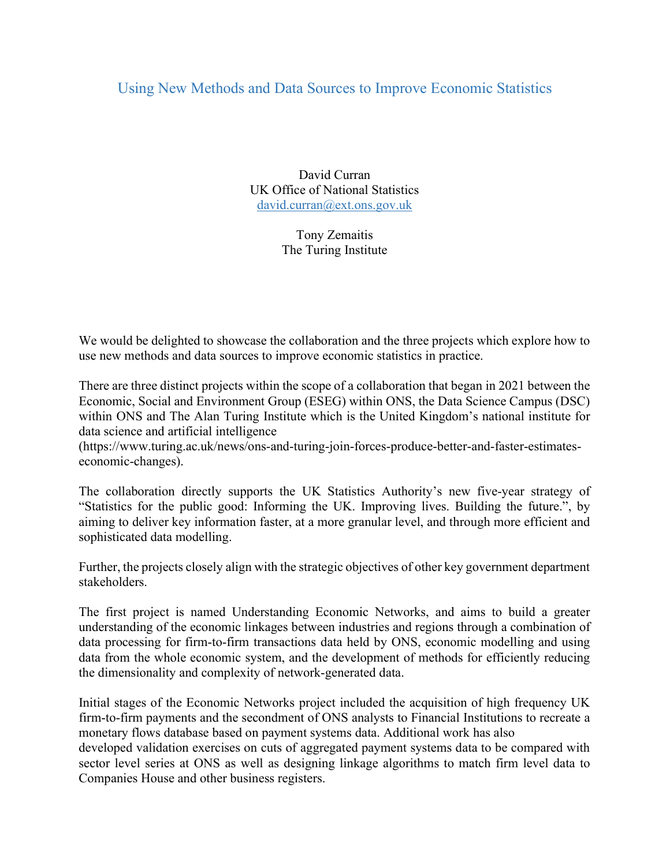## Using New Methods and Data Sources to Improve Economic Statistics

David Curran UK Office of National Statistics david.curran@ext.ons.gov.uk

> Tony Zemaitis The Turing Institute

We would be delighted to showcase the collaboration and the three projects which explore how to use new methods and data sources to improve economic statistics in practice.

There are three distinct projects within the scope of a collaboration that began in 2021 between the Economic, Social and Environment Group (ESEG) within ONS, the Data Science Campus (DSC) within ONS and The Alan Turing Institute which is the United Kingdom's national institute for data science and artificial intelligence

(https://www.turing.ac.uk/news/ons-and-turing-join-forces-produce-better-and-faster-estimateseconomic-changes).

The collaboration directly supports the UK Statistics Authority's new five-year strategy of "Statistics for the public good: Informing the UK. Improving lives. Building the future.", by aiming to deliver key information faster, at a more granular level, and through more efficient and sophisticated data modelling.

Further, the projects closely align with the strategic objectives of other key government department stakeholders.

The first project is named Understanding Economic Networks, and aims to build a greater understanding of the economic linkages between industries and regions through a combination of data processing for firm-to-firm transactions data held by ONS, economic modelling and using data from the whole economic system, and the development of methods for efficiently reducing the dimensionality and complexity of network-generated data.

Initial stages of the Economic Networks project included the acquisition of high frequency UK firm-to-firm payments and the secondment of ONS analysts to Financial Institutions to recreate a monetary flows database based on payment systems data. Additional work has also

developed validation exercises on cuts of aggregated payment systems data to be compared with sector level series at ONS as well as designing linkage algorithms to match firm level data to Companies House and other business registers.